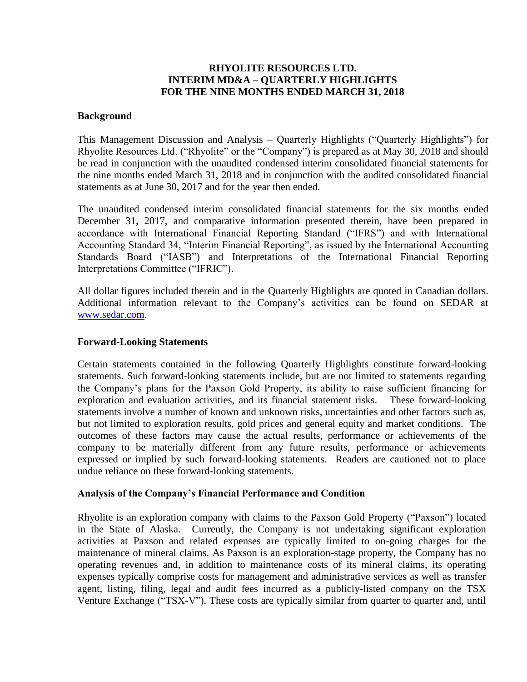# **RHYOLITE RESOURCES LTD. INTERIM MD&A – QUARTERLY HIGHLIGHTS FOR THE NINE MONTHS ENDED MARCH 31, 2018**

# **Background**

This Management Discussion and Analysis – Quarterly Highlights ("Quarterly Highlights") for Rhyolite Resources Ltd. ("Rhyolite" or the "Company") is prepared as at May 30, 2018 and should be read in conjunction with the unaudited condensed interim consolidated financial statements for the nine months ended March 31, 2018 and in conjunction with the audited consolidated financial statements as at June 30, 2017 and for the year then ended.

The unaudited condensed interim consolidated financial statements for the six months ended December 31, 2017, and comparative information presented therein, have been prepared in accordance with International Financial Reporting Standard ("IFRS") and with International Accounting Standard 34, "Interim Financial Reporting", as issued by the International Accounting Standards Board ("IASB") and Interpretations of the International Financial Reporting Interpretations Committee ("IFRIC").

All dollar figures included therein and in the Quarterly Highlights are quoted in Canadian dollars. Additional information relevant to the Company's activities can be found on SEDAR at [www.sedar.com.](http://www.sedar.com/)

### **Forward-Looking Statements**

Certain statements contained in the following Quarterly Highlights constitute forward-looking statements. Such forward-looking statements include, but are not limited to statements regarding the Company's plans for the Paxson Gold Property, its ability to raise sufficient financing for exploration and evaluation activities, and its financial statement risks. These forward-looking statements involve a number of known and unknown risks, uncertainties and other factors such as, but not limited to exploration results, gold prices and general equity and market conditions. The outcomes of these factors may cause the actual results, performance or achievements of the company to be materially different from any future results, performance or achievements expressed or implied by such forward-looking statements. Readers are cautioned not to place undue reliance on these forward-looking statements.

# **Analysis of the Company's Financial Performance and Condition**

Rhyolite is an exploration company with claims to the Paxson Gold Property ("Paxson") located in the State of Alaska. Currently, the Company is not undertaking significant exploration activities at Paxson and related expenses are typically limited to on-going charges for the maintenance of mineral claims. As Paxson is an exploration-stage property, the Company has no operating revenues and, in addition to maintenance costs of its mineral claims, its operating expenses typically comprise costs for management and administrative services as well as transfer agent, listing, filing, legal and audit fees incurred as a publicly-listed company on the TSX Venture Exchange ("TSX-V"). These costs are typically similar from quarter to quarter and, until